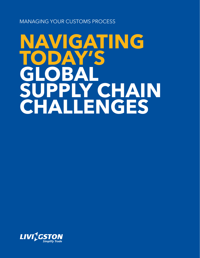Managing your Customs Process

# **Navigating today's global supply chain challenges**

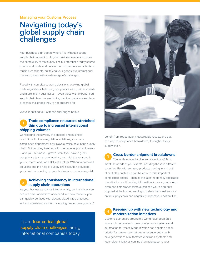#### **Managing your Customs Process**

# **Navigating today's global supply chain challenges**

Your business didn't get to where it is without a strong supply chain operation. As your business evolves, so does the complexity of that supply chain. Enterprises today source goods worldwide and deliver them to partners and clients on multiple continents, but taking your goods into international markets comes with a wide range of challenges.

Faced with complex sourcing decisions, evolving global trade regulations, balancing compliance with business needs and more, many businesses – even those with experienced supply chain teams – are finding that the global marketplace presents challenges they're not prepared for.

We've identified four of those challenges below.

### <sup>1</sup> **Trade compliance resources stretched thin due to increased international shipping volumes**

Considering the severity of penalties and business restrictions for trade regulation violations, your trade compliance department now plays a critical role in the supply chain. But can they keep up with the pace as your shipments – and your business – grow? Even if you have a great compliance team at one location, you might have a gap in your customs and trade skills at another. Without automated solutions and the help of supply chain solution providers, you could be opening up your business to unnecessary risk.

## <sup>2</sup> **Achieving consistency in international supply chain operations**

As your business expands internationally, particularly as you acquire other operations or expand into new markets, you can quickly be faced with decentralized trade practices. Without consistent standard operating procedures, you can't

Learn **four critical global supply chain challenges** facing international companies today.



benefit from repeatable, measureable results, and that can lead to compliance breakdowns throughout your supply chain.

#### <sup>3</sup> **Cross-border shipment breakdowns**

You've developed a diverse product portfolio to meet the needs of your clients, including those in different countries. But with so many products moving in and out of multiple countries, it can be easy to miss important compliance details – such as the latest regionally applicable classification and licensing information for your goods. And even one compliance mistake can see your shipments stopped at the border, leading to delays that weaken your entire supply chain and negatively impact your bottom line.

## <sup>4</sup> **Keeping up with new technology and modernization initiatives**

Customs authorities around the world have been on a slow and steady march towards electronic systems and automation for years. Modernization has become a real priority for these organizations in recent months, with new generations of automated electronic systems and technology initiatives coming at a rapid pace. Is your